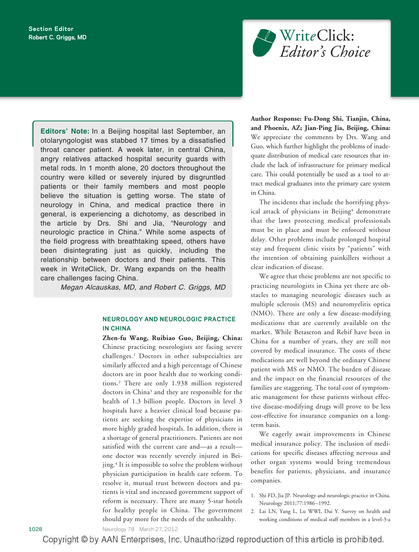Writ*e*Click: *Editor's Choice*

**Editors' Note:** In a Beijing hospital last September, an otolaryngologist was stabbed 17 times by a dissatisfied throat cancer patient. A week later, in central China, angry relatives attacked hospital security guards with metal rods. In 1 month alone, 20 doctors throughout the country were killed or severely injured by disgruntled patients or their family members and most people believe the situation is getting worse. The state of neurology in China, and medical practice there in general, is experiencing a dichotomy, as described in the article by Drs. Shi and Jia, "Neurology and neurologic practice in China." While some aspects of the field progress with breathtaking speed, others have been disintegrating just as quickly, including the relationship between doctors and their patients. This week in Writ*e*Click, Dr. Wang expands on the health care challenges facing China.

*Megan Alcauskas, MD, and Robert C. Griggs, MD*

# **NEUROLOGY AND NEUROLOGIC PRACTICE IN CHINA**

**Zhen-fu Wang, Ruibiao Guo, Beijing, China:** Chinese practicing neurologists are facing severe challenges.1 Doctors in other subspecialties are similarly affected and a high percentage of Chinese doctors are in poor health due to working conditions.2 There are only 1.938 million registered doctors in China<sup>3</sup> and they are responsible for the health of 1.3 billion people. Doctors in level 3 hospitals have a heavier clinical load because patients are seeking the expertise of physicians in more highly graded hospitals. In addition, there is a shortage of general practitioners. Patients are not satisfied with the current care and—as a result one doctor was recently severely injured in Beijing.4 It is impossible to solve the problem without physician participation in health care reform. To resolve it, mutual trust between doctors and patients is vital and increased government support of reform is necessary. There are many 5-star hotels for healthy people in China. The government should pay more for the needs of the unhealthy.

**Author Response: Fu-Dong Shi, Tianjin, China, and Phoenix, AZ; Jian-Ping Jia, Beijing, China:** We appreciate the comments by Drs. Wang and Guo, which further highlight the problems of inadequate distribution of medical care resources that include the lack of infrastructure for primary medical care. This could potentially be used as a tool to attract medical graduates into the primary care system in China.

The incidents that include the horrifying physical attack of physicians in Beijing<sup>4</sup> demonstrate that the laws protecting medical professionals must be in place and must be enforced without delay. Other problems include prolonged hospital stay and frequent clinic visits by "patients" with the intention of obtaining painkillers without a clear indication of disease.

We agree that these problems are not specific to practicing neurologists in China yet there are obstacles to managing neurologic diseases such as multiple sclerosis (MS) and neuromyelitis optica (NMO). There are only a few disease-modifying medications that are currently available on the market. While Betaseron and Rebif have been in China for a number of years, they are still not covered by medical insurance. The costs of these medications are well beyond the ordinary Chinese patient with MS or NMO. The burden of disease and the impact on the financial resources of the families are staggering. The total cost of symptomatic management for these patients without effective disease-modifying drugs will prove to be less cost-effective for insurance companies on a longterm basis.

We eagerly await improvements in Chinese medical insurance policy. The inclusion of medications for specific diseases affecting nervous and other organ systems would bring tremendous benefits for patients, physicians, and insurance companies.

- 1. Shi FD, Jia JP. Neurology and neurologic practice in China. Neurology 2011;77:1986 –1992.
- 2. Lai LN, Yang L, Lu WWI, Dai Y. Survey on health and working conditions of medical staff members in a level-3-a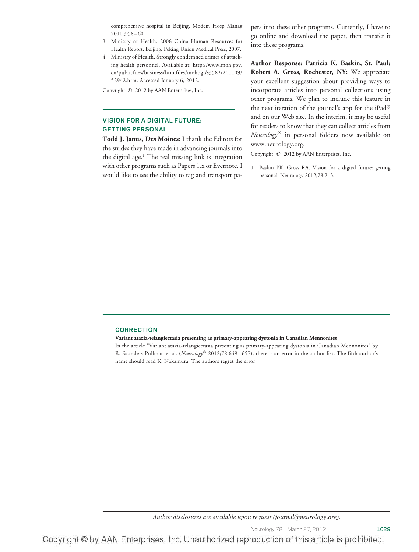comprehensive hospital in Beijing. Modem Hosp Manag  $2011:3:58 - 60.$ 

- 3. Ministry of Health. 2006 China Human Resources for Health Report. Beijing: Peking Union Medical Press; 2007.
- 4. Ministry of Health. Strongly condemned crimes of attacking health personnel. Available at: [http://www.moh.gov.](http://www.moh.gov.cn/publicfiles/business/htmlfiles/mohbgt/s3582/201109/52942.htm) [cn/publicfiles/business/htmlfiles/mohbgt/s3582/201109/](http://www.moh.gov.cn/publicfiles/business/htmlfiles/mohbgt/s3582/201109/52942.htm) [52942.htm.](http://www.moh.gov.cn/publicfiles/business/htmlfiles/mohbgt/s3582/201109/52942.htm) Accessed January 6, 2012.

Copyright © 2012 by AAN Enterprises, Inc.

# **VISION FOR A DIGITAL FUTURE: GETTING PERSONAL**

**Todd J. Janus, Des Moines:** I thank the Editors for the strides they have made in advancing journals into the digital age.1 The real missing link is integration with other programs such as Papers 1.x or Evernote. I would like to see the ability to tag and transport papers into these other programs. Currently, I have to go online and download the paper, then transfer it into these programs.

**Author Response: Patricia K. Baskin, St. Paul; Robert A. Gross, Rochester, NY:** We appreciate your excellent suggestion about providing ways to incorporate articles into personal collections using other programs. We plan to include this feature in the next iteration of the journal's app for the iPad and on our Web site. In the interim, it may be useful for readers to know that they can collect articles from *Neurology*® in personal folders now available on www.neurology.org.

Copyright © 2012 by AAN Enterprises, Inc.

1. Baskin PK, Gross RA. Vision for a digital future: getting personal. Neurology 2012;78:2–3.

## **CORRECTION**

### **Variant ataxia-telangiectasia presenting as primary-appearing dystonia in Canadian Mennonites**

In the article "Variant ataxia-telangiectasia presenting as primary-appearing dystonia in Canadian Mennonites" by R. Saunders-Pullman et al. (*Neurology*® 2012;78:649 – 657), there is an error in the author list. The fifth author's name should read K. Nakamura. The authors regret the error.

*Author disclosures are available upon request (journal@neurology.org).*

Neurology 78 March 27, 2012 1029

Copyright © by AAN Enterprises, Inc. Unauthorized reproduction of this article is prohibited.